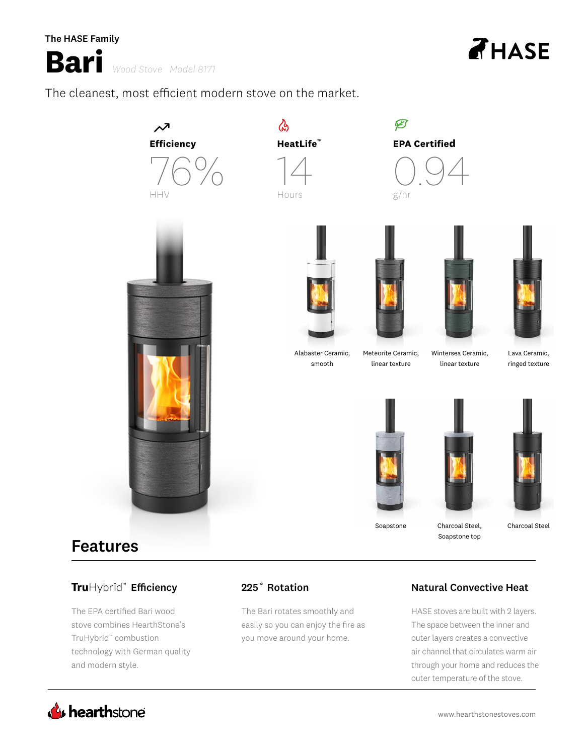

**Bari** *Wood Stove Model 8171* **Bari** *Wood Stove Model 8171*

The cleanest, most efficient modern stove on the market. The cleanest, most efficient modern stove on the market.



# Features Features

# Hybrid™ **Efficiency**

The EPA certified Bari wood The EPA certified Bari wood stove combines HearthStone's stove combines HearthStone's TruHybrid™ combustion TruHybrid™ combustion technology with German quality technology with German quality and modern style. and modern style.

The Bari rotates smoothly and The Bari rotates smoothly and easily so you can enjoy the fire as easily so you can enjoy the fire as you move around your home. you move around your home.

# 225˚ Rotation Natural Convective Heat 225˚ Rotation Natural Convective Heat

Soapstone top Soapstone top

HASE stoves are built with 2 layers. HASE stoves are built with 2 layers. The space between the inner and The space between the inner and outer layers creates a convective outer layers creates a convective air channel that circulates warm air air channel that circulates warm air through your home and reduces the through your home and reduces the outer temperature of the stove. outer temperature of the stove.